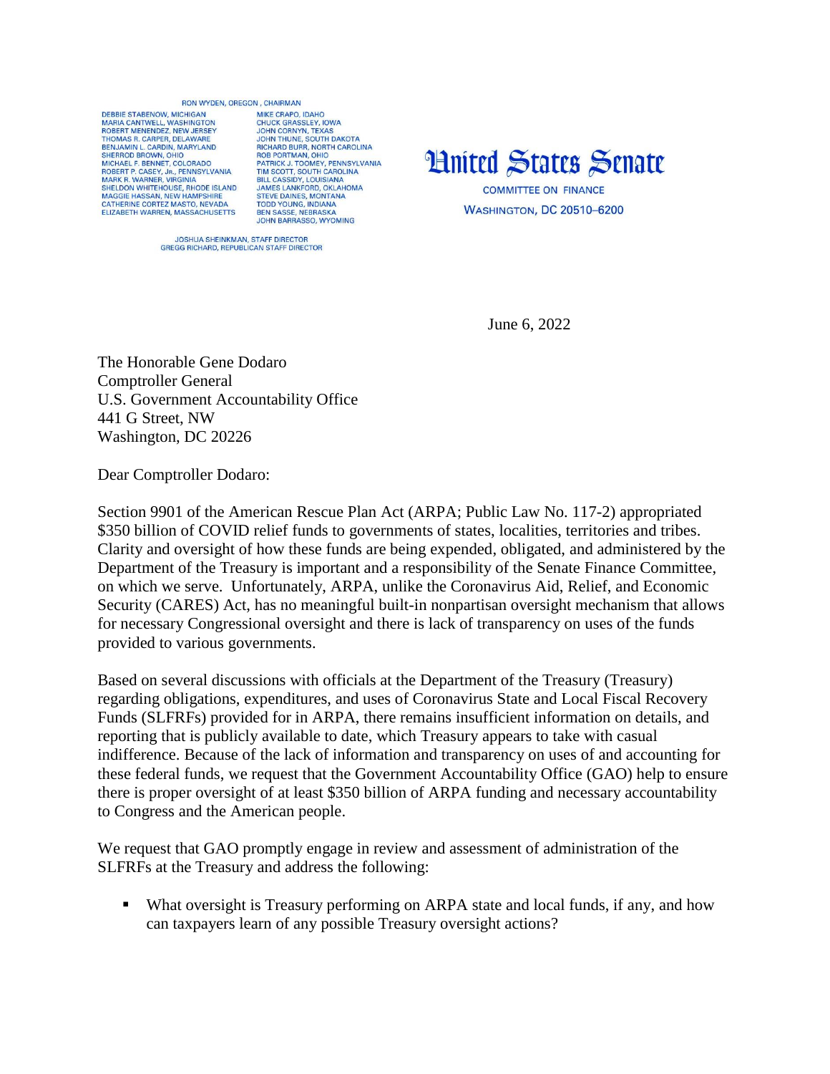## BON WYDEN OREGON CHAIRMAN

DERRIE STARENOW MICHIGAN MARIA CANTWELL, WASHINGTON<br>ROBERT MENENDEZ, NEW JERSEY THOMAS R. CARPER, DELAWARE BENJAMIN L. CARDIN, MARYLAND<br>SHERROD BROWN, OHIO MICHAEL E BENNET, COLOBADO ROBERT P. CASEY, JR., PENNSYLVANIA<br>MARK R. WARNER, VIRGINIA SHELDON WHITEHOUSE, RHODE ISLAND SILLED MAGGIE HASSAN, NEW HAMPSHIRE<br>CATHERINE CORTEZ MASTO, NEVADA<br>ELIZABETH WARREN, MASSACHUSETTS

MIKE CRAPO IDAHO CHUCK GRASSLEY, IOWA<br>JOHN CORNYN, TEXAS JOHN CORNYN, TEXAS<br>JOHN THUNE, SOUTH DAKOTA<br>RICHARD BURR, NORTH CAROLINA<br>ROB PORTMANI, OHIO<br>PATRICK J. TOOMEY, PENNSYLVANIA<br>TIM SCOTT, SOUTH CAROLINA<br>JAMES LANKFORD, OKLAHOMA<br>STEVIE DAINIES MONTANA<br>STEVIE DAINIES MONTANA STRIVE DAINES, MONTANA<br>TODD YOUNG, INDIANA<br>BEN SASSE, NEBRASKA **JOHN BARRASSO, WYOMING** 



JOSHUA SHEINKMAN, STAFF DIRECTOR<br>GREGG RICHARD, REPUBLICAN STAFF DIRECTOR

June 6, 2022

The Honorable Gene Dodaro Comptroller General U.S. Government Accountability Office 441 G Street, NW Washington, DC 20226

Dear Comptroller Dodaro:

Section 9901 of the American Rescue Plan Act (ARPA; Public Law No. 117-2) appropriated \$350 billion of COVID relief funds to governments of states, localities, territories and tribes. Clarity and oversight of how these funds are being expended, obligated, and administered by the Department of the Treasury is important and a responsibility of the Senate Finance Committee, on which we serve. Unfortunately, ARPA, unlike the Coronavirus Aid, Relief, and Economic Security (CARES) Act, has no meaningful built-in nonpartisan oversight mechanism that allows for necessary Congressional oversight and there is lack of transparency on uses of the funds provided to various governments.

Based on several discussions with officials at the Department of the Treasury (Treasury) regarding obligations, expenditures, and uses of Coronavirus State and Local Fiscal Recovery Funds (SLFRFs) provided for in ARPA, there remains insufficient information on details, and reporting that is publicly available to date, which Treasury appears to take with casual indifference. Because of the lack of information and transparency on uses of and accounting for these federal funds, we request that the Government Accountability Office (GAO) help to ensure there is proper oversight of at least \$350 billion of ARPA funding and necessary accountability to Congress and the American people.

We request that GAO promptly engage in review and assessment of administration of the SLFRFs at the Treasury and address the following:

 What oversight is Treasury performing on ARPA state and local funds, if any, and how can taxpayers learn of any possible Treasury oversight actions?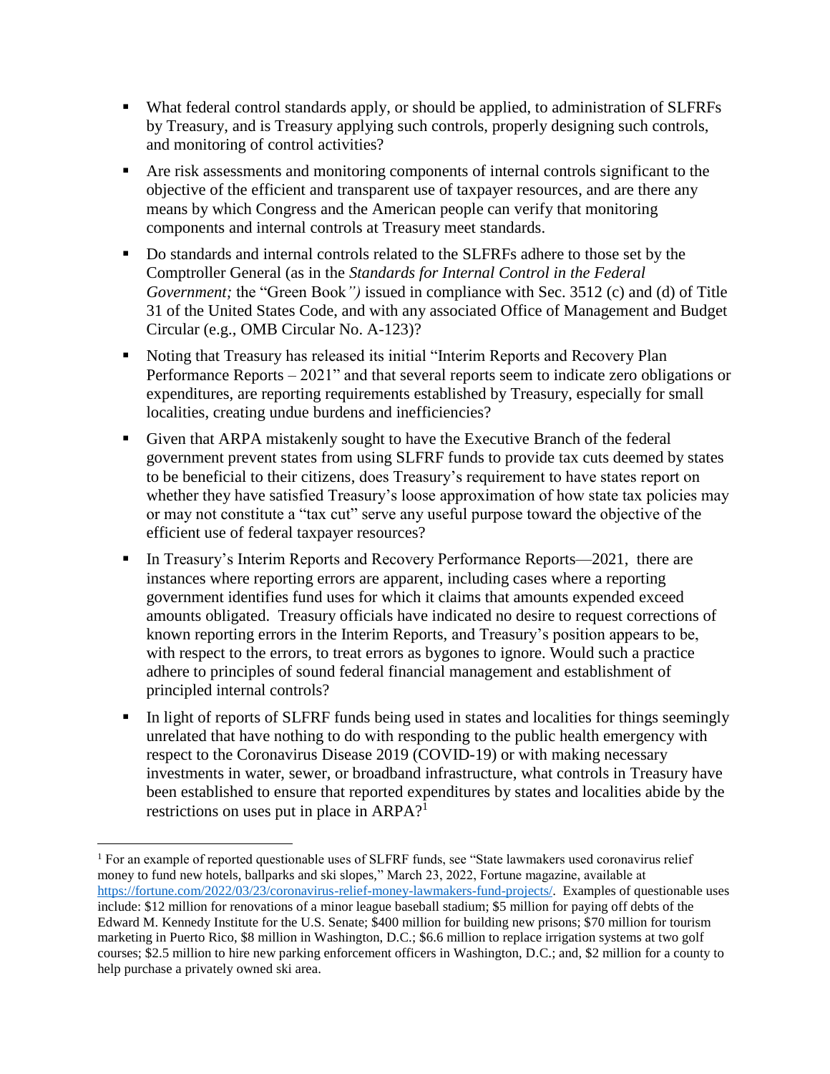- What federal control standards apply, or should be applied, to administration of SLFRFs by Treasury, and is Treasury applying such controls, properly designing such controls, and monitoring of control activities?
- Are risk assessments and monitoring components of internal controls significant to the objective of the efficient and transparent use of taxpayer resources, and are there any means by which Congress and the American people can verify that monitoring components and internal controls at Treasury meet standards.
- Do standards and internal controls related to the SLFRFs adhere to those set by the Comptroller General (as in the *Standards for Internal Control in the Federal Government;* the "Green Book*")* issued in compliance with Sec. 3512 (c) and (d) of Title 31 of the United States Code, and with any associated Office of Management and Budget Circular (e.g., OMB Circular No. A-123)?
- Noting that Treasury has released its initial "Interim Reports and Recovery Plan Performance Reports – 2021" and that several reports seem to indicate zero obligations or expenditures, are reporting requirements established by Treasury, especially for small localities, creating undue burdens and inefficiencies?
- Given that ARPA mistakenly sought to have the Executive Branch of the federal government prevent states from using SLFRF funds to provide tax cuts deemed by states to be beneficial to their citizens, does Treasury's requirement to have states report on whether they have satisfied Treasury's loose approximation of how state tax policies may or may not constitute a "tax cut" serve any useful purpose toward the objective of the efficient use of federal taxpayer resources?
- In Treasury's Interim Reports and Recovery Performance Reports—2021, there are instances where reporting errors are apparent, including cases where a reporting government identifies fund uses for which it claims that amounts expended exceed amounts obligated. Treasury officials have indicated no desire to request corrections of known reporting errors in the Interim Reports, and Treasury's position appears to be, with respect to the errors, to treat errors as bygones to ignore. Would such a practice adhere to principles of sound federal financial management and establishment of principled internal controls?
- In light of reports of SLFRF funds being used in states and localities for things seemingly unrelated that have nothing to do with responding to the public health emergency with respect to the Coronavirus Disease 2019 (COVID-19) or with making necessary investments in water, sewer, or broadband infrastructure, what controls in Treasury have been established to ensure that reported expenditures by states and localities abide by the restrictions on uses put in place in ARPA?<sup>1</sup>

 $\overline{a}$ 

<sup>&</sup>lt;sup>1</sup> For an example of reported questionable uses of SLFRF funds, see "State lawmakers used coronavirus relief money to fund new hotels, ballparks and ski slopes," March 23, 2022, Fortune magazine, available at [https://fortune.com/2022/03/23/coronavirus-relief-money-lawmakers-fund-projects/.](https://fortune.com/2022/03/23/coronavirus-relief-money-lawmakers-fund-projects/) Examples of questionable uses include: \$12 million for renovations of a minor league baseball stadium; \$5 million for paying off debts of the Edward M. Kennedy Institute for the U.S. Senate; \$400 million for building new prisons; \$70 million for tourism marketing in Puerto Rico, \$8 million in Washington, D.C.; \$6.6 million to replace irrigation systems at two golf courses; \$2.5 million to hire new parking enforcement officers in Washington, D.C.; and, \$2 million for a county to help purchase a privately owned ski area.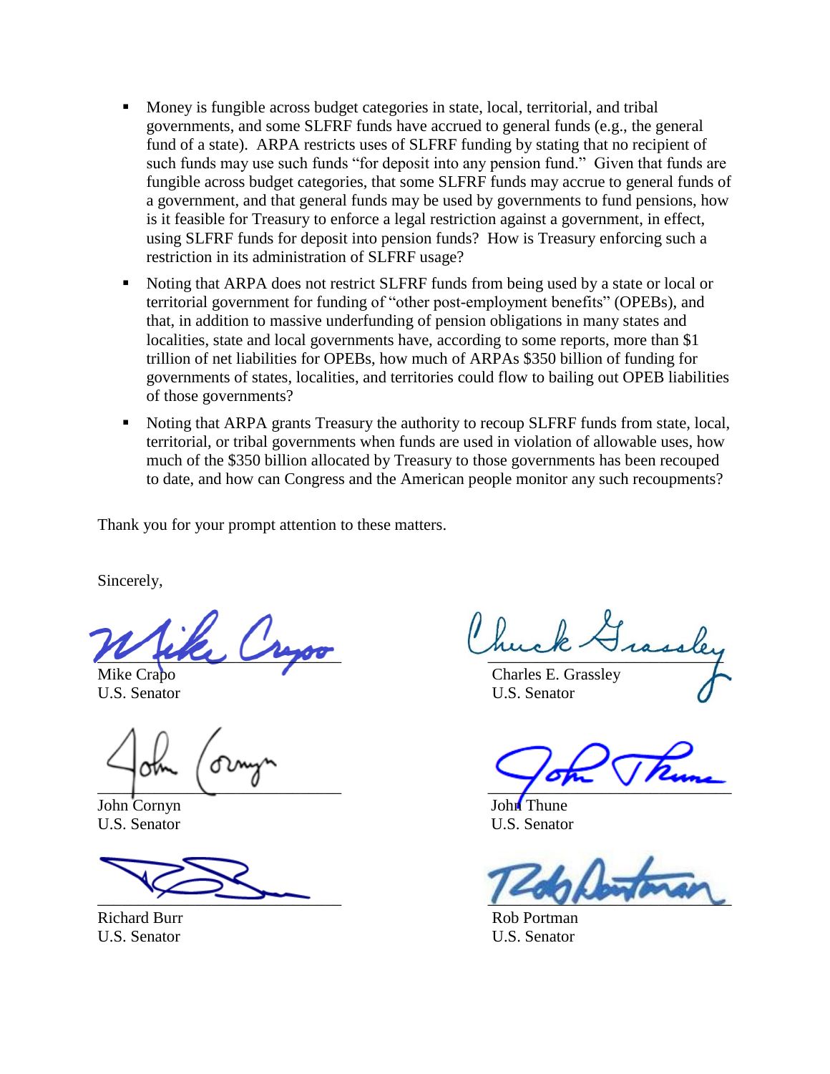- Money is fungible across budget categories in state, local, territorial, and tribal governments, and some SLFRF funds have accrued to general funds (e.g., the general fund of a state). ARPA restricts uses of SLFRF funding by stating that no recipient of such funds may use such funds "for deposit into any pension fund." Given that funds are fungible across budget categories, that some SLFRF funds may accrue to general funds of a government, and that general funds may be used by governments to fund pensions, how is it feasible for Treasury to enforce a legal restriction against a government, in effect, using SLFRF funds for deposit into pension funds? How is Treasury enforcing such a restriction in its administration of SLFRF usage?
- Noting that ARPA does not restrict SLFRF funds from being used by a state or local or territorial government for funding of "other post-employment benefits" (OPEBs), and that, in addition to massive underfunding of pension obligations in many states and localities, state and local governments have, according to some reports, more than \$1 trillion of net liabilities for OPEBs, how much of ARPAs \$350 billion of funding for governments of states, localities, and territories could flow to bailing out OPEB liabilities of those governments?
- Noting that ARPA grants Treasury the authority to recoup SLFRF funds from state, local, territorial, or tribal governments when funds are used in violation of allowable uses, how much of the \$350 billion allocated by Treasury to those governments has been recouped to date, and how can Congress and the American people monitor any such recoupments?

Thank you for your prompt attention to these matters.

Sincerely,

 $\overline{\mu}$ 

John Cornyn John Thune U.S. Senator U.S. Senator

Richard Burr Rob Portman

Mike Crapo **Charles E. Grassley** U.S. Senator U.S. Senator

 $\frac{1}{\sqrt{2\pi}}$ 

 $\sim$   $\sim$   $\sim$   $\sim$   $\sim$   $\sim$   $\sim$ 

U.S. Senator U.S. Senator